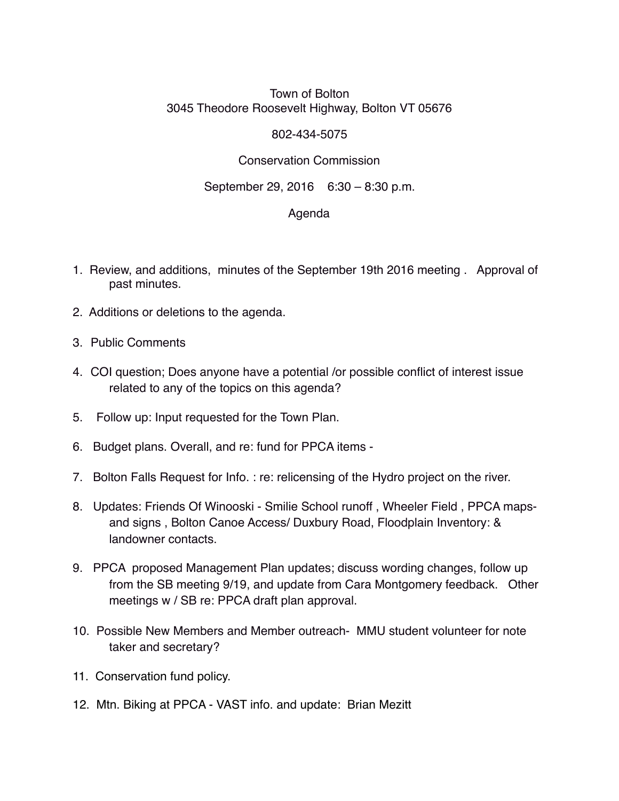# Town of Bolton 3045 Theodore Roosevelt Highway, Bolton VT 05676

### 802-434-5075

# Conservation Commission

# September 29, 2016 6:30 – 8:30 p.m.

### Agenda

- 1. Review, and additions, minutes of the September 19th 2016 meeting . Approval of past minutes.
- 2. Additions or deletions to the agenda.
- 3. Public Comments
- 4. COI question; Does anyone have a potential /or possible conflict of interest issue related to any of the topics on this agenda?
- 5. Follow up: Input requested for the Town Plan.
- 6. Budget plans. Overall, and re: fund for PPCA items -
- 7. Bolton Falls Request for Info. : re: relicensing of the Hydro project on the river.
- 8. Updates: Friends Of Winooski Smilie School runoff , Wheeler Field , PPCA mapsand signs , Bolton Canoe Access/ Duxbury Road, Floodplain Inventory: & landowner contacts.
- 9. PPCA proposed Management Plan updates; discuss wording changes, follow up from the SB meeting 9/19, and update from Cara Montgomery feedback. Other meetings w / SB re: PPCA draft plan approval.
- 10. Possible New Members and Member outreach- MMU student volunteer for note taker and secretary?
- 11. Conservation fund policy.
- 12. Mtn. Biking at PPCA VAST info. and update: Brian Mezitt